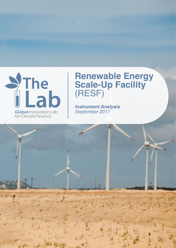

# **Renewable Energy Scale-Up Facility**  (RESF)

*Instrument Analysis September 2017*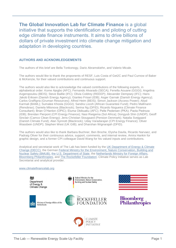**The Global Innovation Lab for Climate Finance** is a global initiative that supports the identification and piloting of cutting edge climate finance instruments. It aims to drive billions of dollars of private investment into climate change mitigation and adaptation in developing countries.

## **AUTHORS AND ACKNOWLEDGEMENTS**

The authors of this brief are Bella Tonkonogy, Dario Abramskiehn, and Valerio Micale.

The authors would like to thank the proponents of RESF, Luis Costa of Get2C and Paul Curnow of Baker & McKenzie, for their valued contributions and continuous support.

The authors would also like to acknowledge the valued contributions of the following experts, in alphabetical order: Kome Ajegbo (AFC); Fernando Alvarado (SECA); Fenella Aouane (GGGI); Angelina Avgeropoulou (BEIS); Steve Baillie (IFC); Olivia Coldrey (REEEP); Alexander Dempsey (IFC); Hans Jakob Eriksen (Danish Energy Agency); Gianleo Frisari (IDB); Asger Garnak (Danish Energy Agency); Carlos Graffigna (Gruman Resources); Alfred Heim (BEIS); Simon Jackson (Access Power); Abyd Karmali (BAML); Sumalee Khosla (GGGI); Sandra Locoh (African Guarantee Fund); Pedro Mallmann (Renobrax); Daniela Milonova (Blackrock); Serina Ng (DFID); Ricardo Nogueira (Climate Finance Consultant); Brian O'Hanlon (OPIC); Eluma Obibuaku (AFC); Pelle Pedersen (PKA); Paola Pedroza (IDB); Brendan Pierpont (CPI Energy Finance); Nasi Rwigema (Sol Africa); Dongyub Shin (UNDP); Geoff Sinclair (Camco Clean Energy); Jens-Christian Stougaard (Pension Denmark); Natalia Svejgaard (Danish Climate Fund); Alan Synnott (Blackrock); Uday Varadarajan (CPI Energy Finance); Oliver Wassbein (UNDP); Stephen West (UK GIB); and Dharshan Wignarajah (DFID).

The authors would also like to thank Barbara Buchner, Ben Broche, Elysha Davila, Ricardo Narvaez, and Padraig Oliver for their continuous advice, support, comments, and internal review, Amira Hankin for graphic design, and a former CPI colleague David Wang for his valued inputs and contributions.

Analytical and secretariat work of The Lab has been funded by the UK [Department of Energy & Climate](https://www.gov.uk/government/organisations/department-of-energy-climate-change)  [Change \(DECC\),](https://www.gov.uk/government/organisations/department-of-energy-climate-change) the German [Federal Ministry for the Environment, Nature Conservation, Building and](http://www.bmub.bund.de/en/)  [Nuclear Safety \(BMUB\),](http://www.bmub.bund.de/en/) the U.S. [Department of State,](http://www.state.gov/) the Netherlands [Ministry for Foreign Affairs,](https://www.government.nl/ministries/ministry-of-foreign-affairs) [Bloomberg Philanthropies,](http://www.bloomberg.org/) and [The Rockefeller Foundation.](https://www.rockefellerfoundation.org/) Climate Policy Initiative serves as Lab Secretariat and analytical provider.

#### [www.climatefinancelab.org](http://www.climatefinancelab.org/)



POLICY **INITIATIVE** 

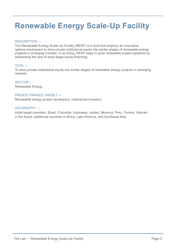# **Renewable Energy Scale-Up Facility**

#### DESCRIPTION —

The Renewable Energy Scale-Up Facility (RESF) is a fund that employs an innovative options mechanism to drive private institutional equity into earlier stages of renewable energy projects in emerging markets. In so doing, RESF helps to grow renewable project pipelines by addressing the lack of early-stage equity financing.

#### GOAL —

To drive private institutional equity into earlier stages of renewable energy projects in emerging markets.

SECTOR — Renewable Energy

#### PRIVATE FINANCE TARGET —

Renewable energy project developers, institutional investors

#### GEOGRAPHY —

Initial target countries: Brazil, Colombia, Indonesia, Jordan, Morocco, Peru, Tunisia, Vietnam In the future: additional countries in Africa, Latin America, and Southeast Asia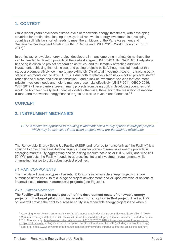# **1. CONTEXT**

While recent years have seen historic levels of renewable energy investment, with developing countries for the first time leading the way, total renewable energy investment in developing countries still falls far short of needs to meet the ambitions of the Paris Agreement and Sustainable Development Goals (FS-UNEP Centre and BNEF 2016; World Economic Forum 2017). 1

In particular, renewable energy project developers in many emerging markets do not have the capital needed to develop projects at the earliest stages (UNEP 2011; IRENA 2016). Early-stage financing is critical to project preparation activities, and to ultimately attracting additional investment, achieving financial close, and getting projects built. Although capital needs at this stage are comparatively low – up to approximately 5% of total investment costs – attracting earlystage investments can be difficult. This is due both to relatively high risks – not all projects started reach financial close and start construction – and a lack of investment vehicles that can meet private investors' needs and help to manage these risks effectively (UNEP 2011; OECD 2016; WEF 2017).These barriers prevent many projects from being built in developing countries that would be both technically and financially viable otherwise, threatening the realization of national climate and renewable energy finance targets as well as investment mandates. $2,3$ 

# **CONCEPT**

# **2. INSTRUMENT MECHANICS**

*RESF's innovative approach to reducing investment risk is to buy options in multiple projects, which may be exercised if and when projects meet pre-determined milestones.* 

The Renewable Energy Scale-Up Facility (RESF, and referred to henceforth as "the Facility") is a solution to drive private institutional equity into earlier stages of renewable energy projects in emerging markets. By aggregating and de-risking medium-scale solar (10-50 MW) and wind (20- 50 MW) projects, the Facility intends to address institutional investment requirements while channeling finance to build robust project pipelines.

## 2.1 MAIN COMPONENTS

The Facility will own two types of assets: 1) **Options** in renewable energy projects that are purchased at the early- to mid- stage of project development; and 2) Upon exercise of options at financial close, **shares in successful projects** (see Figure 1).

#### *2.1.1 Options Mechanism*

 $\overline{a}$ 

**The Facility will seek to pay a portion of the development costs of renewable energy projects in the target pilot countries, in return for an option in that project.** The Facility's options will provide the right to purchase equity in a renewable energy project if and when it

<sup>1</sup> According to FS-UNEP Centre and BNEF (2016), investment in developing countries was \$156 billion in 2015. <sup>2</sup> Confirmed through stakeholder interviews with institutional and development finance investors, held March-June 2017. Also see, e.g., [http://www.privateequitywire.co.uk/2016/02/03/236186/blackrock-renewable-power-fund](http://www.privateequitywire.co.uk/2016/02/03/236186/blackrock-renewable-power-fund-completes-first-close)[completes-first-close,](http://www.privateequitywire.co.uk/2016/02/03/236186/blackrock-renewable-power-fund-completes-first-close) noting increase in European investor interest in real assets (including renewable energy). <sup>3</sup> See, e.g.[, https://www.environmental-finance.com/content/news/abp-introduces-internal-emissions-cap.html](https://www.environmental-finance.com/content/news/abp-introduces-internal-emissions-cap.html)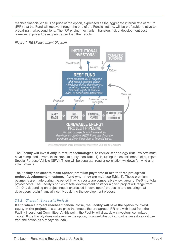reaches financial close. The price of the option, expressed as the aggregate internal rate of return (IRR) that the Fund will receive through the end of the Fund's lifetime, will be preferable relative to prevailing market conditions. The IRR pricing mechanism transfers risk of development cost overruns to project developers rather than the Facility.





\*Initial implementation phase also draws on finance from DFIs and other investors

**The Facility will invest only in mature technologies, to reduce technology risk.** Projects must have completed several initial steps to apply (see Table 1), including the establishment of a project Special Purpose Vehicle (SPV). There will be separate, regular solicitation windows for wind and solar projects.

**The Facility can elect to make options premium payments at two to three pre-agreed project development milestones if and when they are met** (see Table 1)**.** These premium payments are made during the period in which costs are comparatively low, around 1%-5% of total project costs. The Facility's portion of total development costs for a given project will range from 10-49%, depending on project needs expressed in developers' proposals and ensuring that developers retain financial incentives during the development process.

## *2.1.2 Shares in Successful Projects*

**If and when a project reaches financial close, the Facility will have the option to invest equity in the project,** at a share price that meets the pre-agreed IRR and with input from the Facility Investment Committee. At this point, the Facility will draw down investors' committed capital. If the Facility does not exercise the option, it can sell the option to other investors or it can treat the option as a repayable loan.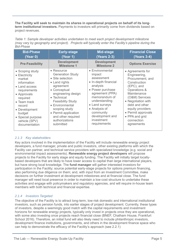**The Facility will seek to maintain its shares in operational projects on behalf of its longterm institutional investors.** Payments to investors will primarily come from dividends based on project revenues.

*Table 1: Sample developer activities undertaken to meet each project development milestone (may vary by geography and project). Projects will typically enter the Facility's pipeline during the Bid-Phase*

| <b>Bid-Phase</b>       | <b>Early-stage</b>                       | Mid-stage                                | <b>Financial Close</b>  |  |
|------------------------|------------------------------------------|------------------------------------------|-------------------------|--|
| (Year 0)               | (Year 1)                                 | <b>(Years 2-3)</b>                       | (Years 3-4)             |  |
| <b>Pre-Feasibility</b> | <b>Development</b><br><b>Milestone 1</b> | <b>Development</b><br><b>Milestone 2</b> | <b>Options Exercise</b> |  |
| • Scoping study        | $\bullet$ Resource                       | • Environmental                          | • Agreements for        |  |
| • Electricity          | <b>Generation Study</b>                  | impact                                   | Engineering,            |  |
| market                 | • Site selection                         | assessment                               | Procurement, and        |  |
| information            | • Land rights                            | • In-depth financial                     | Construction            |  |
| • Land access          | agreement                                | analysis                                 | (EPC), and              |  |
| requirements           | • Conceptual                             | • Power purchase                         | Operations &            |  |
| • Approvals            | engineering design                       | agreement (PPA)                          | Maintenance             |  |
| required               | • Technical                              | memorandum of                            | (O&M) Services          |  |
| $\bullet$ Team track   | <b>Feasibility Study</b>                 | understanding                            | • Negotiation with      |  |
| record                 | • Environmental                          | • Land surveys                           | debt and other          |  |
| • Development          | scoping study                            | • Analysis of                            | equity providers        |  |
| budget                 | • Permit application                     | community                                | • Permit approvals      |  |
| • Special purpose      | and other required                       | development and                          | • PPA and grid          |  |
| vehicle (SPV)          | authorizations                           | investment                               | connection              |  |
| documentation          | submitted                                | requirements                             | agreements              |  |

## *2.1.3 Key stakeholders*

Key actors involved in the implementation of the Facility will include renewable energy project developers, a fund manager, private and public investors, other existing platforms with which the Facility can partner, and technical service providers with specialized knowledge (e.g. social and environmental impact assessments). **Renewable energy project developers** will propose projects to the Facility for early stage and equity funding. The Facility will initially target locallybased developers that are likely to have lower access to capital than large international players, but have strong local knowledge. The **fund manager** will gather interested investors for participation in the Facility; source potential early-stage projects for options premium financing, also performing due diligence on them; and, with input from an Investment Committee, make decisions on further investment at development milestones and at financial close. The fund manager will need local presence in order to maintain a low-cost structure to undertake these activities and engage with policymakers and regulatory agencies, and will require in-house team members with both technical and financial expertise.

## *2.1.4 Investors Targeted*

The objective of the Facility is to attract long-term, low-risk domestic and international institutional investors, such as pension funds, into earlier stages of project development. Currently, these types of investors, despite a seemingly good match with the capital requirements and investment horizons for renewable energy projects, typically only invest in projects once they are operational, with some also investing once projects reach financial close (BNEF, Chatham House, Frankfurt School 2016). Therefore, an initial fund will also likely need to include philanthropic investors, development finance institutions, governments, and others in the development finance space who can help to demonstrate the efficacy of the Facility's approach (see 2.2.1)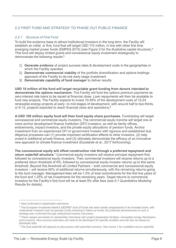# 2.2 FIRST FUND AND STRATEGY TO PHASE OUT PUBLIC FINANCE

## *2.2.1 Structure of First Fund*

To build the evidence base to attract institutional investors in the long term, the Facility will establish an initial, or first, fund that will target USD 110 million, in line with other first time emerging market power funds (EMPEA 2015) (see Figure 2 for the illustrative capital structure).<sup>4</sup> This fund will deploy limited grants and concessional equity investment strategically to demonstrate the following results: 5

- 1) **Generate evidence** of project success rates & development costs in the geographies in which the Facility operates
- 2) **Demonstrate commercial viability** of the portfolio diversification and options holdings approach of the Facility to de-risk early stage investment
- 3) **Demonstrate capability of fund manager** to deliver results

**USD 10 million of the fund will target recyclable grant funding from donors intended to demonstrate the options mechanism**. The Facility will fund the options premium payments as zero-interest rate loans to be repaid at financial close. Loan repayments will then be available to fund new projects. The Facility expects to invest 10-49% of the development costs of 12-24 renewable energy projects at early- to mid-stages of development, with around half to two-thirds, or 6-12, projects expected to reach financial close and operations. $6$ 

**A USD 100 million equity fund will then fund equity share purchases.** Fundraising will target concessional and commercial equity investors. The commercial equity tranche will target one or more anchor development finance institution (DFI) investors, as well as family offices, endowments, impact investors, and the private equity allocations of pension funds. Anchor investment from an experienced DFI or government investor with rigorous and established due diligence processes can (1) provide important certification effects to other investors, (2) help crowd-in additional private finance, and (3) ultimately demonstrate the efficacy of an innovative new approach to climate finance investment (Escalante et al., 2017 forthcoming).

**The concessional equity will offset construction risk through a preferred repayment and return waterfall structure.<sup>7</sup>** Commercial equity investors will receive principal repayment first, followed by concessional equity investors. Then commercial investors will receive returns up to a preferred return threshold of 8%, followed by concessional equity investor returns up to this same threshold. Beyond this threshold all Limited Partners – both commercial and concessional equity investors – will receive 80% of additional returns simultaneously, with the remaining returns going to the fund manager. Management fees will be 1.5% of total commitments for the first five years of the fund and 1.25% of net investments for the remaining years. Target returns to commercial investors for the Facility's first fund will be at least 9% after fees (see *[5.1 Quantitative Modeling](#page-13-0)* [Results](#page-13-0) for details).

<sup>4</sup> Also confirmed in stakeholder interviews.

<sup>5</sup> The European Investment Bank's GEEREF fund of funds has seen similar progressions in its investee funds, with institutional investors such as pension funds investing in follow-on funds; the potential attractiveness of such a strategy was confirmed through institutional investor interviews.

<sup>6</sup> These ranges are based on stakeholder interviews with project preparation facilities, renewable energy developers, and investors. More precise estimates will need to be developed for specific localities and will also be based on developer bids.

<sup>7</sup> The final waterfall will depend on discussions with potential investors. See Annex 1 for modelled returns waterfall.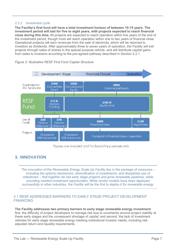#### *2.2.2 Investment cycle*

**The Facility's first fund will have a total investment horizon of between 10-15 years. The investment period will last for five to eight years, with projects expected to reach financial close during this time.** All projects are expected to reach operation within five years of the end of the investment period, though most will reach operation within one to two years of financial close. Operational projects will earn revenues from the sale of electricity, which will be returned to investors as dividends. After approximately three to seven years of operation, the Facility will exit projects through sales of shares in the special purpose vehicle, and will distribute capital gains from sales to investors according to the pre-agreed pathway described in Section 2.2.1.



*Figure 2: Illustrative RESF First Fund Capital Structure*

\*figures are rounded and for illustrative purposes only

# **3. INNOVATION**

*The innovation of the Renewable Energy Scale-Up Facility lies in the package of measures – including the options mechanism, diversification of investments, and disciplined use of milestones – that together de-risk early stage projects and grow renewable pipelines, while providing needed investment opportunities. While similar models have been deployed successfully in other industries, the Facility will be the first to deploy it for renewable energy.* 

## 3.1 RESF ADDRESSES BARRIERS TO EARLY STAGE PROJECT DEVELOPMENT FINANCING

#### **The Facility addresses two primary barriers to early stage renewable energy investment**:

first, the difficulty of project developers to manage risk due to uncertainty around project viability at these early stages and the consequent shortage of capital; and second, the lack of investment vehicles for early stage renewable energy meeting institutional investor needs, including riskadjusted return and liquidity requirements.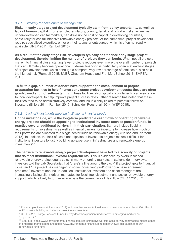#### *3.1.1 Difficulty for developers to manage risk*

**Risks in early stage project development typically stem from policy uncertainty, as well as lack of human capital.** For example, regulatory, country, legal, and off-taker risks, as well as under-developed capital markets, can drive up the cost of capital in developing countries, particularly for capital intensive renewable energy projects. At the same time, project developers require specialized expertise, either on their teams or outsourced, which is often not readily available (UNEP 2011; Ramboll 2015).

**As a result of the early stage risk, developers typically self-finance early stage project development, thereby limiting the number of projects they can begin.** When not all projects make it to financial close, starting fewer projects reduces even more the overall number of projects that can ultimately become operational. External financing is particularly scarce at earliest stages of project development, which although a comparatively low percentage of total costs, also hold the highest risk (Ramboll 2015; BNEF, Chatham House and Frankfurt School 2016; EMPEA, 2015).

**To fill this gap, a number of donors have supported the establishment of project preparation facilities to help finance early stage project development costs; these are often grant-based and not self-sustaining.** These facilities also typically provide technical assistance to local developers, to help improve project success rates. Other research has noted that these facilities tend to be administratively complex and insufficiently linked to potential follow-on investors (Ehlers 2014; Ramboll 2015; Schneider-Roos et al. 2014; WEF 2015).

#### *3.1.2 Lack of investments meeting institutional investor needs*

**On the investor side, while the long-term predictable cash flows of operating renewable energy projects should be appealing to institutional investors such as pension funds, in practice several additional barriers limit their participation.** Barriers include liquidity requirements for investments as well as internal barriers for investors to increase how much of their portfolios are allocated to a single sector such as renewable energy (Nelson and Pierpont 2013). In addition, the lack of scale and pipeline of investable projects makes it difficult for institutional investors to justify building up expertise in infrastructure and renewable energy investments<sup>8,9</sup>.

**The barriers to renewable energy project development have led to a scarcity of projects that do meet institutional investor requirements.** This is evidenced by oversubscribed renewable energy project equity sales in many emerging markets: in stakeholder interviews, investors told the Lab Secretariat that "there's a line around the block" if a project gets to financial close, and "If a project has managed to solve those [land/grid/power purchase agreement] problems," investors abound. In addition, institutional investors and asset managers are increasingly facing client-driven mandates for fossil fuel divestment and active renewable energy support, which is likely to further exacerbate the current lack of deal flow (OECD 2015).<sup>10</sup>

<sup>8</sup> For example, Nelson & Pierpont (2013) estimate that an institutional investor needs to have at least \$50 billion in AUM to justify building an in-house project investment team.

<sup>9</sup> OECD's 2015 Large Pensions Funds Survey describes pension fund interest in emerging markets as "opportunistic"

<sup>10</sup> See, e.g., [https://www.environmental-finance.com/content/analysis/profile-actis-on-why-renewables-makes-sense](https://www.environmental-finance.com/content/analysis/profile-actis-on-why-renewables-makes-sense-in-emerging-markets.html)[in-emerging-markets.html](https://www.environmental-finance.com/content/analysis/profile-actis-on-why-renewables-makes-sense-in-emerging-markets.html) and [https://www.environmental-finance.com/content/news/kgal-launches-fourth](https://www.environmental-finance.com/content/news/kgal-launches-fourth-renewables-fund.html)[renewables-fund.html](https://www.environmental-finance.com/content/news/kgal-launches-fourth-renewables-fund.html)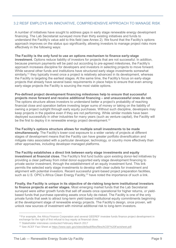# 3.2 RESF EMPLOYS AN INNOVATIVE, COMPREHENSIVE APPROACH TO MANAGE RISK

A number of initiatives have sought to address gaps in early stage renewable energy development financing. The Lab Secretariat surveyed more than thirty existing initiatives and funds to understand the Facility's value add to this field (see Annex 2). We found that the Facility's options approach improves on the status quo significantly, allowing investors to manage project risks more effectively in the following ways:

**The Facility is the only fund to use an options mechanism to finance early-stage investment.** Options reduce liability of investors for projects that are not successful. In addition, because premium payments will be paid out according to pre-agreed milestones, the Facility's approach increases discipline for developers and investors in selecting projects to move forward. While several other funds and institutions have structured early stage investments somewhat similarly,<sup>11</sup> they typically invest once a project is relatively advanced in its development, whereas the Facility is targeting the earliest stages. At the same time, the Facility's focus on early-stage projects that already have several basic requirements in place helps to ensure that even among early-stage projects the Facility is sourcing the most viable options.

**Pre-defined project development financing milestones help to ensure that successful projects move forward and receive additional financing – and unsuccessful ones do not.** The options structure allows investors to understand better a project's probability of reaching financial close and operation before investing larger sums of money or taking on the liability of owning a project outright through early equity purchases. Without such discipline, developers may keep projects in the pipeline even if they are not performing. While similar models have been deployed successfully in other industries for many years (such as venture capital), the Facility will be the first to deploy it in renewable energy project development.<sup>12</sup>

**The Facility's options structure allows for multiple small investments to be made simultaneously.** The Facility's lower-cost exposure to a wider variety of projects at different stages of development means that the Facility can have greater portfolio diversification and mitigate risks associated with a particular developer, technology, or country more effectively than other approaches, including developer-managed platforms.

**The Facility establishes a direct link between early stage investments and equity investment at financial close.** The Facility's first fund builds upon existing donor-led initiatives by providing a clear pathway from initial donor-supported early stage development financing to private sector investment, through the establishment of an equity investment fund. This link permits the selected early stage investments to develop with clear outlets for investment and alignment with potential investors. Recent successful grant-based project preparation facilities, such as U.S. OPIC's Africa Clean Energy Facility,<sup>13</sup> have noted the importance of such a link.

**Finally, the Facility is unique in its objective of de-risking long-term institutional investors to finance projects at earlier stages.** Most emerging market funds that the Lab Secretariat surveyed were *either* growth funds that sell off assets once operational for higher returns, *or* yieldbased funds that purchase operating assets once fully de-risked. The Facility is one of the only private funds that seek to attract long-term yield-based institutional equity commitments beginning at the development stage of renewable energy projects. The Facility's design, once proven, will unlock new sources of investment with minimal additional risk to long-term investors.

<sup>11</sup>For example, the Africa Finance Corporation and several GEEREF investee funds finance project development in exchange for the right of first refusal to buy equity at financial close.

<sup>12</sup> Stakeholder interviews conducted February-March 2017

<sup>13</sup> See ACEF Fact Sheet at [https://www.opic.gov/sites/default/files/files/ACEF%20Factsheet.pdf.](https://www.opic.gov/sites/default/files/files/ACEF%20Factsheet.pdf)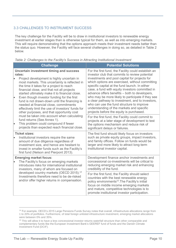# 3.3 CHALLENGES TO INSTRUMENT SUCCESS

The key challenge for the Facility will be to draw in institutional investors to renewable energy investment at earlier stages than is otherwise typical for them, as well as into emerging markets. This will require demonstrating that the options approach meets their investment needs better than the status quo. However, the Facility will face several challenges in doing so, as detailed in Table 2 below.

| <b>Challenge</b>                                                                                                                                                                                                                                                                                                                                                                                                                                                                                                                                |                                                                                                                                                                     | <b>Potential Solutions</b>                                                                                                                                                                                                                                                                                                                                                                                                                                                                                                                                                                                     |  |  |
|-------------------------------------------------------------------------------------------------------------------------------------------------------------------------------------------------------------------------------------------------------------------------------------------------------------------------------------------------------------------------------------------------------------------------------------------------------------------------------------------------------------------------------------------------|---------------------------------------------------------------------------------------------------------------------------------------------------------------------|----------------------------------------------------------------------------------------------------------------------------------------------------------------------------------------------------------------------------------------------------------------------------------------------------------------------------------------------------------------------------------------------------------------------------------------------------------------------------------------------------------------------------------------------------------------------------------------------------------------|--|--|
| <b>Uncertain investment timing and success</b><br>rates:<br>Project development is highly uncertain in<br>most markets. This uncertainty is reflected in<br>the time it takes for a project to reach<br>financial close, and that not all projects<br>started ultimately make it to financial close.<br>Even though investor funding for the first<br>fund is not drawn-down until the financing is<br>needed at financial close, commitments<br>effectively limit the use of investors' funds for<br>other purposes, and that opportunity cost |                                                                                                                                                                     | For the first fund, the Facility could establish an<br>investor club that commits to review potential<br>investments and pool capital for projects for<br>which options are exercised, without committing<br>specific capital at the fund launch. In either<br>case, a fund with equity investors committed in<br>advance offers benefits – both to developers,<br>who may be more likely to participate if they see<br>a clear pathway to investment, and to investors,<br>who can use the fund structure to improve<br>understanding of the markets and specific<br>projects before the equity is purchased. |  |  |
| lo.                                                                                                                                                                                                                                                                                                                                                                                                                                                                                                                                             | must be taken into account when calculating<br>fund returns (See Annex 1).<br>This problem could compound if fewer<br>projects than expected reach financial close. | For the first fund, the Facility could commit to<br>projects at a later stage of development to test<br>the options mechanism and reduce risk of<br>significant delays or failures.                                                                                                                                                                                                                                                                                                                                                                                                                            |  |  |
| <b>Ticket sizes:</b><br>Institutional investors require the same<br>amount of due diligence regardless of<br>investment size, and hence are hesitant to<br>invest in smaller funds such as the Facility's<br>first fund (Nelson and Pierpont 2013).                                                                                                                                                                                                                                                                                             |                                                                                                                                                                     | The first fund should likely focus on investors<br>such as private equity groups, impact investors,<br>and family offices. Follow on funds would be<br>larger and more likely to attract long-term<br>institutional investor capital.                                                                                                                                                                                                                                                                                                                                                                          |  |  |
| <b>Emerging market focus:</b><br>The Facility's focus on emerging markets<br>introduces risks for international institutional<br>investors, many of whom are focused on                                                                                                                                                                                                                                                                                                                                                                         |                                                                                                                                                                     | Development finance anchor investments and<br>concessional co-investments will be critical to<br>reducing emerging market risk and enhancing<br>credibility of the fund.                                                                                                                                                                                                                                                                                                                                                                                                                                       |  |  |
|                                                                                                                                                                                                                                                                                                                                                                                                                                                                                                                                                 | developed country markets (OECD 2015). <sup>14</sup><br>Investments therefore need to be de-risked<br>and/or offer higher returns in compensation.                  | For the first fund, the Facility should select<br>countries with the best renewable energy<br>policy environments <sup>15</sup> . The Facility's initial<br>focus on middle income emerging markets<br>and mature, competitive technologies is to<br>promote institutional investor participation.                                                                                                                                                                                                                                                                                                             |  |  |

*Table 2: Challenges to the Facility's Success in Attracting Institutional Investment*

<sup>&</sup>lt;sup>14</sup> For example, OECD's 2015 Large Pensions Funds Survey notes that overall, infrastructure allocations range from 1 to 20% of portfolios. Furthermore, of total foreign unlisted infrastructure investment, emerging market allocations were between 0% and 35%.

<sup>&</sup>lt;sup>15</sup> This will allow it to have a less concessional investor returns waterfall structure than other comparable and complementary funds like the European Investment Bank's GEEREF fund of funds and the Danish Climate Investment Fund (DCIF).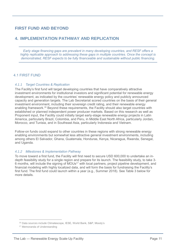# **FIRST FUND AND BEYOND**

# **4. IMPLEMENTATION PATHWAY AND REPLICATION**

*Early stage financing gaps are prevalent in many developing countries, and RESF offers a highly replicable approach to addressing these gaps in multiple countries. Once the concept is demonstrated, RESF expects to be fully financeable and sustainable without public financing.*

## 4.1 FIRST FUND

#### *4.1.1 Target Countries & Replication*

The Facility's first fund will target developing countries that have comparatively attractive investment environments for institutional investors and significant potential for renewable energy development, as indicated by the countries' renewable energy policy and publicly announced capacity and generation targets. The Lab Secretariat scored countries on the basis of their general investment environment, including their sovereign credit rating, and their renewable energy enabling framework.<sup>16</sup> Beyond these requirements, the Facility should also target countries with established or planned independent power producer markets. Based on this research as well as Proponent input, the Facility could initially target early-stage renewable energy projects in Latin America, particularly Brazil, Colombia, and Peru, in Middle East North Africa, particularly Jordan, Morocco, and Tunisia, and in Southeast Asia, particularly Indonesia and Vietnam.

Follow-on funds could expand to other countries in these regions with strong renewable energy enabling environments but somewhat less attractive general investment environments, including among others El Salvador, Ghana, Guatemala, Honduras, Kenya, Nicaragua, Rwanda, Senegal, and Uganda.

#### *4.1.2 Milestones & Implementation Pathway*

To move toward a first fund, the Facility will first need to secure USD 600,000 to undertake an indepth feasibility study for a single region and prepare for its launch. The feasibility study, to take 3- 6 months, will include the signing of MOUs<sup>17</sup> with local partners, project pipeline development, and financial modeling with highly localized data, and will form the basis for fundraising the Facility's first fund. The first fund could launch within a year (e.g., Summer 2018). See Table 3 below for more details.

<sup>16</sup> Data sources include Climatescope, IESE, World Bank, S&P, Moody's

<sup>17</sup> Memoranda of Understanding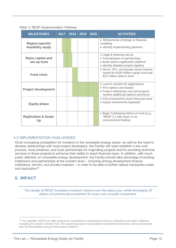*Table 3: RESF Implementation Pathway*

| <b>MILESTONES</b>                           | 2017 2018 2019 2020 |  | <b>ACTIVITIES</b>                                                                                                                             |
|---------------------------------------------|---------------------|--|-----------------------------------------------------------------------------------------------------------------------------------------------|
| <b>Region-specific</b><br>feasibility study |                     |  | • Refinements of design & financial<br>modeling<br>• Identify implementing partners                                                           |
| <b>Raise capital and</b><br>set-up fund     |                     |  | • Legal & financial set-up<br>• Formalization of partnerships<br>• Build options application platform<br>· Identify detailed project pipeline |
| <b>Fund close</b>                           |                     |  | • Donor, DFI, and private sector finance<br>raised for \$100 million equity fund and<br>\$10 million options fund                             |
| <b>Project development</b>                  |                     |  | • Launch window for applications<br>• First options purchased<br>• Project milestones met and projects<br>receive additional options premiums |
| <b>Equity phase</b>                         |                     |  | • First investments reach financial close<br>• Equity investments deployed                                                                    |
| <b>Replication &amp; Scale-</b><br>Up       |                     |  | • Begin fundraising follow on fund (e.g.,<br>"RESF 2") with lower or no<br>concessional funding                                               |

## 4.2 IMPLEMENTATION CHALLENGES

Given increasing competition for investors in the renewable energy sector, as well as the need to develop relationships with local project developers, the Facility will need establish a low-cost process, local presence, and local partnerships for originating projects and for providing technical services to those projects to enhance their ability to reach financial close. In addition, with much public attention on renewable energy development, the Facility should take advantage of existing institutions and partnerships at the investor level – including among development finance institutions, donors, and private investors – in order to be able to further reduce transaction costs and duplication<sup>18</sup>.

# **5. IMPACT**

 $\overline{a}$ 

*The design of RESF increases investors' returns over the status quo, while leveraging 25 dollars of commercial investment for every one of public investment.*

<sup>&</sup>lt;sup>18</sup> For example, RESF can offer projects for investment to development finance institutions and other initiatives including the Danish Climate Fund, the upcoming Danish Sustainable Development Goal fund, and in partnership with the Renewable Energy Performance Platform.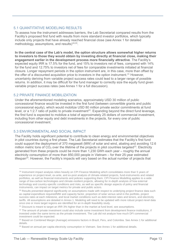## <span id="page-13-0"></span>5.1 QUANTITATIVE MODELING RESULTS

To assess how the instrument addresses barriers, the Lab Secretariat compared results from the Facility's proposed first fund with results from more standard investor portfolios, which typically include only projects that have already reached financial close (see Annex 1 for detailed methodology, assumptions, and results)<sup>19,20</sup>.

**In the central case of the Lab's model, the option structure allows somewhat higher returns to investors to those they would obtain by investing directly at financial close, making their engagement earlier in the development process more financially attractive**. The Facility's expected equity IRR is 17.5% for the fund, and 15% to investors net of fees, compared with 14% for the fund and 12.75% to investors net of fees for comparable investments initiated at financial closure. Longer repayment periods in the option instrument are, in this case, more than offset by the offer of a discounted acquisition price to investors in the option instrument.<sup>21</sup> However, uncertainty deriving from variable project success rates could lead to a larger range of possible returns. In addition, it may be difficult for the fund manager to correctly size the equity fund given variable project success rates (see Annex 1 for a full discussion).

#### 5.2 PRIVATE FINANCE MOBILIZATION

Under the aforementioned modeling scenarios, approximately USD 30 million of public concessional finance would be invested in the first fund (between convertible grants and public concessional equity), which would mobilize USD 80 million private sector commitments at fund level, or a 1:2.7 ratio of public to private investment<sup>22</sup>. Expanding beyond the direct fund leverage, the first fund is expected to mobilize a total of approximately 25 dollars of commercial investment, including from other equity and debt investments in the projects, for every one of public concessional investment.

## 5.3 ENVIRONMENTAL AND SOCIAL IMPACT

 $\overline{a}$ 

The Facility holds significant potential to contribute to clean energy and environmental objectives in pilot countries during a first phase. The Lab Secretariat estimates that the Facility's first fund could support the deployment of 370 megawatt (MW) of solar and wind, abating and avoiding 12.6 million metric tons of  $CO<sub>2</sub>$  over the lifetime of the projects in pilot countries targeted<sup>23</sup>. Electricity generated from these projects could be more than 1,230 GWh each year – roughly the annual electricity consumption of more than 850,000 people in Vietnam – for their 25-year estimated lifespan<sup>24</sup>. However, the Facility's impacts will vary based on the actual number of projects that

<sup>&</sup>lt;sup>19</sup> Instrument impact analysis relies heavily on CPI Finance Modeling which consolidates more than 5 years of experience on project-level, ex-ante, and ex-post analysis of climate-related projects, fund-instruments and related portfolios, as well as financial instruments and policies supporting them. CPI Finance Modelling applies to a wide range of low-carbon technologies and climate-resilient projects, allowing for in-depth analysis of how external technology and country-specific conditions and risks, as well as specific design aspects of policy and financial instruments, can impact on target metrics for private and public actors.

<sup>&</sup>lt;sup>20</sup> Results presented depend significantly on assumptions made with respect to underlying project finance data such as capital expenditure required/MW and capacity factor, proportion of solar versus wind in the portfolio, project success rates at each milestone, and local market conditions such as debt interest rates and tenors, and electricity tariffs. All assumptions are detailed in Annex 1. Modeling will need to be updated with more robust project-level data once one or more target regions are identified for an in-depth feasibility study.

<sup>&</sup>lt;sup>21</sup> Discount is meant to target an IRR 3% higher than in the market at fund level, see assumptions.

<sup>&</sup>lt;sup>22</sup> The amount of private investment could also include some investment from development finance institutions, if invested under the same terms as the private investment. The Lab did not analyze how much DFI commercial investment could be expected.

<sup>&</sup>lt;sup>23</sup> Based on Combined Margin (Average) emissions factors in Brazil, Peru, and Colombia. See Annex 1 for additional details.

<sup>&</sup>lt;sup>24</sup> Based on annual per capita electricity consumption in Vietnam. See Annex 1 for additional details.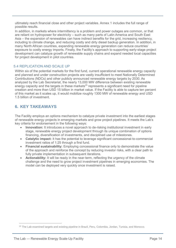ultimately reach financial close and other project variables. Annex 1 includes the full range of possible results.

In addition, in markets where intermittency is a problem and power outages are common, or that are reliant on hydropower for electricity – such as many parts of Latin America and South East Asia – the expansion of renewables can have indirect benefits for the grid, increasing resiliency, including to climate change, and reducing costly and dirty diesel backup generation. In addition, in many North African countries, expanding renewable energy generation can reduce countries' exposure to costly energy imports. Finally, the Facility's approach to supporting early-stage project development can catalyze growth of renewable supply chains and expand needed local capacities for project development in pilot countries.

## 5.4 REPLICATION AND SCALE UP

Within six of the potential markets for the first fund, current operational renewable energy capacity and planned and under construction projects are vastly insufficient to meet Nationally Determined Contributions (NDCs) and other publicly announced renewable energy targets by 2030. As analyzed by the Lab Secretariat, the nearly 13,000 MW difference between existing renewable energy capacity and the targets in these markets<sup>25</sup> represents a significant need for pipeline creation and more than USD 15 billion in market value. If the Facility is able to capture ten percent of this market as it scales up, it would mobilize roughly 1300 MW of renewable energy and USD 1.5 billion of investment.

# **6. KEY TAKEAWAYS**

The Facility employs an options mechanism to catalyze private investment into the earliest stages of renewable energy projects in emerging markets and grow project pipelines. It meets the Lab's key criteria for endorsement in the following ways:

- **Innovation:** It introduces a novel approach to de-risking institutional investment in early stage, renewable energy project development through its unique combination of options financing, diversification of investments, and disciplined use of milestones.
- **Catalytic impact:** It has the potential to leverage significant concessional-to-commercial investment ratios of 1:25 through a first fund.
- **Financial sustainability:** Employing concessional finance only to demonstrate the value of the approach and reinforce the concept by reducing investor risks, with a clear path to fully private implementation in subsequent iterations.
- **Actionability:** It will be ready in the near-term, reflecting the urgency of the climate challenge and the need to grow project investment pipelines in emerging economies. The model can be deployed very quickly once investment is raised.

<sup>&</sup>lt;sup>25</sup> The Lab examined targets and existing pipeline in Brazil, Peru, Colombia, Jordan, Tunisia, and Morocco.